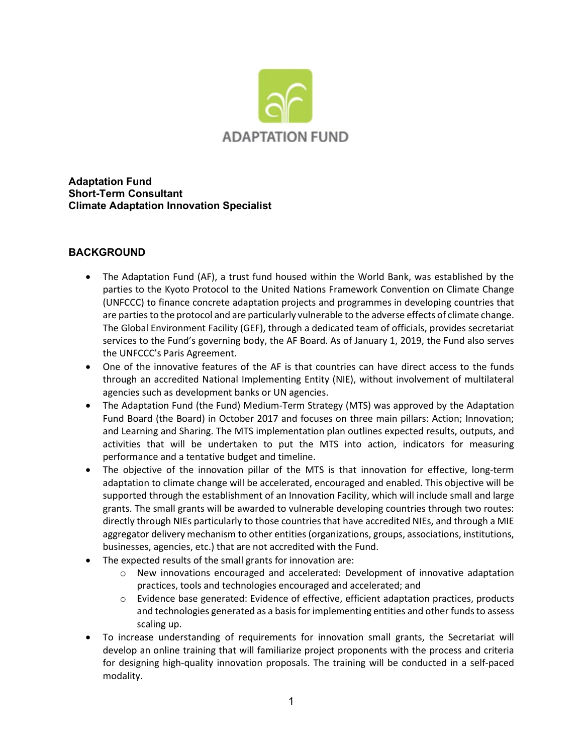

**Adaptation Fund Short-Term Consultant Climate Adaptation Innovation Specialist**

## **BACKGROUND**

- The Adaptation Fund (AF), a trust fund housed within the World Bank, was established by the parties to the Kyoto Protocol to the United Nations Framework Convention on Climate Change (UNFCCC) to finance concrete adaptation [projects and programmes](http://www.adaptation-fund.org/funded_projects) in developing countries that are parties to the protocol and are particularly vulnerable to the adverse effects of climate change. The Global Environment Facility (GEF), through a dedicated team of officials, provides secretariat services to the Fund's governing body, the AF Board. As of January 1, 2019, the Fund also serves the UNFCCC's Paris Agreement.
- One of the innovative features of the AF is that countries can have direct access to the funds through an accredited National Implementing Entity (NIE), without involvement of multilateral agencies such as development banks or UN agencies.
- The Adaptation Fund (the Fund) Medium-Term Strategy (MTS) was approved by the Adaptation Fund Board (the Board) in October 2017 and focuses on three main pillars: Action; Innovation; and Learning and Sharing. The MTS implementation plan outlines expected results, outputs, and activities that will be undertaken to put the MTS into action, indicators for measuring performance and a tentative budget and timeline.
- The objective of the innovation pillar of the MTS is that innovation for effective, long-term adaptation to climate change will be accelerated, encouraged and enabled. This objective will be supported through the establishment of an Innovation Facility, which will include small and large grants. The small grants will be awarded to vulnerable developing countries through two routes: directly through NIEs particularly to those countries that have accredited NIEs, and through a MIE aggregator delivery mechanism to other entities (organizations, groups, associations, institutions, businesses, agencies, etc.) that are not accredited with the Fund.
- The expected results of the small grants for innovation are:
	- $\circ$  New innovations encouraged and accelerated: Development of innovative adaptation practices, tools and technologies encouraged and accelerated; and
	- o Evidence base generated: Evidence of effective, efficient adaptation practices, products and technologies generated as a basis for implementing entities and other funds to assess scaling up.
- To increase understanding of requirements for innovation small grants, the Secretariat will develop an online training that will familiarize project proponents with the process and criteria for designing high-quality innovation proposals. The training will be conducted in a self-paced modality.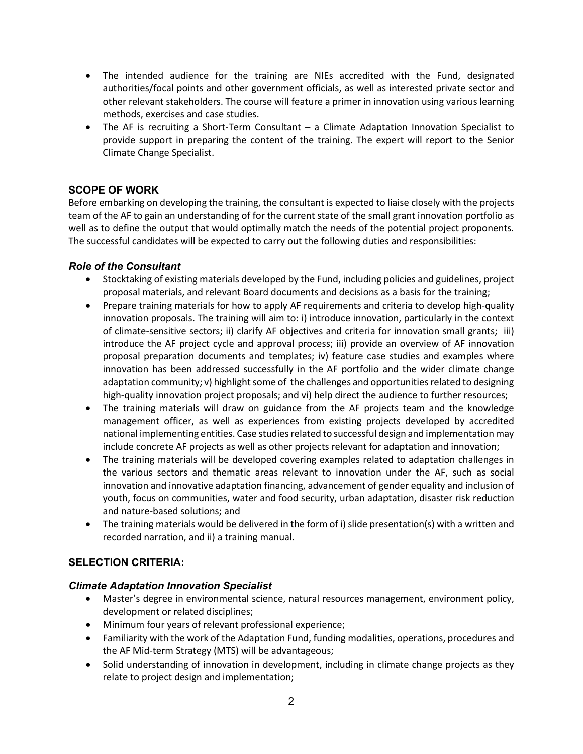- The intended audience for the training are NIEs accredited with the Fund, designated authorities/focal points and other government officials, as well as interested private sector and other relevant stakeholders. The course will feature a primer in innovation using various learning methods, exercises and case studies.
- The AF is recruiting a Short-Term Consultant a Climate Adaptation Innovation Specialist to provide support in preparing the content of the training. The expert will report to the Senior Climate Change Specialist.

## **SCOPE OF WORK**

Before embarking on developing the training, the consultant is expected to liaise closely with the projects team of the AF to gain an understanding of for the current state of the small grant innovation portfolio as well as to define the output that would optimally match the needs of the potential project proponents. The successful candidates will be expected to carry out the following duties and responsibilities:

### *Role of the Consultant*

- Stocktaking of existing materials developed by the Fund, including policies and guidelines, project proposal materials, and relevant Board documents and decisions as a basis for the training;
- Prepare training materials for how to apply AF requirements and criteria to develop high-quality innovation proposals. The training will aim to: i) introduce innovation, particularly in the context of climate-sensitive sectors; ii) clarify AF objectives and criteria for innovation small grants; iii) introduce the AF project cycle and approval process; iii) provide an overview of AF innovation proposal preparation documents and templates; iv) feature case studies and examples where innovation has been addressed successfully in the AF portfolio and the wider climate change adaptation community; v) highlight some of the challenges and opportunities related to designing high-quality innovation project proposals; and vi) help direct the audience to further resources;
- The training materials will draw on guidance from the AF projects team and the knowledge management officer, as well as experiences from existing projects developed by accredited national implementing entities. Case studies related to successful design and implementation may include concrete AF projects as well as other projects relevant for adaptation and innovation;
- The training materials will be developed covering examples related to adaptation challenges in the various sectors and thematic areas relevant to innovation under the AF, such as social innovation and innovative adaptation financing, advancement of gender equality and inclusion of youth, focus on communities, water and food security, urban adaptation, disaster risk reduction and nature-based solutions; and
- The training materials would be delivered in the form of i) slide presentation(s) with a written and recorded narration, and ii) a training manual.

# **SELECTION CRITERIA:**

### *Climate Adaptation Innovation Specialist*

- Master's degree in environmental science, natural resources management, environment policy, development or related disciplines;
- Minimum four years of relevant professional experience;
- Familiarity with the work of the Adaptation Fund, funding modalities, operations, procedures and the AF Mid-term Strategy (MTS) will be advantageous;
- Solid understanding of innovation in development, including in climate change projects as they relate to project design and implementation;